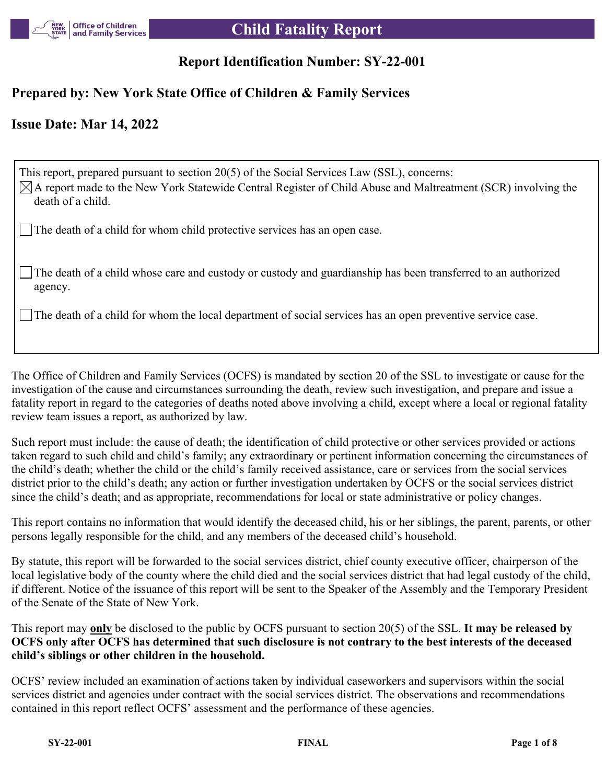

# **Report Identification Number: SY-22-001**

# **Prepared by: New York State Office of Children & Family Services**

# **Issue Date: Mar 14, 2022**

This report, prepared pursuant to section 20(5) of the Social Services Law (SSL), concerns:  $\boxtimes$ A report made to the New York Statewide Central Register of Child Abuse and Maltreatment (SCR) involving the death of a child.

The death of a child for whom child protective services has an open case.

The death of a child whose care and custody or custody and guardianship has been transferred to an authorized agency.

The death of a child for whom the local department of social services has an open preventive service case.

The Office of Children and Family Services (OCFS) is mandated by section 20 of the SSL to investigate or cause for the investigation of the cause and circumstances surrounding the death, review such investigation, and prepare and issue a fatality report in regard to the categories of deaths noted above involving a child, except where a local or regional fatality review team issues a report, as authorized by law.

Such report must include: the cause of death; the identification of child protective or other services provided or actions taken regard to such child and child's family; any extraordinary or pertinent information concerning the circumstances of the child's death; whether the child or the child's family received assistance, care or services from the social services district prior to the child's death; any action or further investigation undertaken by OCFS or the social services district since the child's death; and as appropriate, recommendations for local or state administrative or policy changes.

This report contains no information that would identify the deceased child, his or her siblings, the parent, parents, or other persons legally responsible for the child, and any members of the deceased child's household.

By statute, this report will be forwarded to the social services district, chief county executive officer, chairperson of the local legislative body of the county where the child died and the social services district that had legal custody of the child, if different. Notice of the issuance of this report will be sent to the Speaker of the Assembly and the Temporary President of the Senate of the State of New York.

This report may **only** be disclosed to the public by OCFS pursuant to section 20(5) of the SSL. **It may be released by OCFS only after OCFS has determined that such disclosure is not contrary to the best interests of the deceased child's siblings or other children in the household.**

OCFS' review included an examination of actions taken by individual caseworkers and supervisors within the social services district and agencies under contract with the social services district. The observations and recommendations contained in this report reflect OCFS' assessment and the performance of these agencies.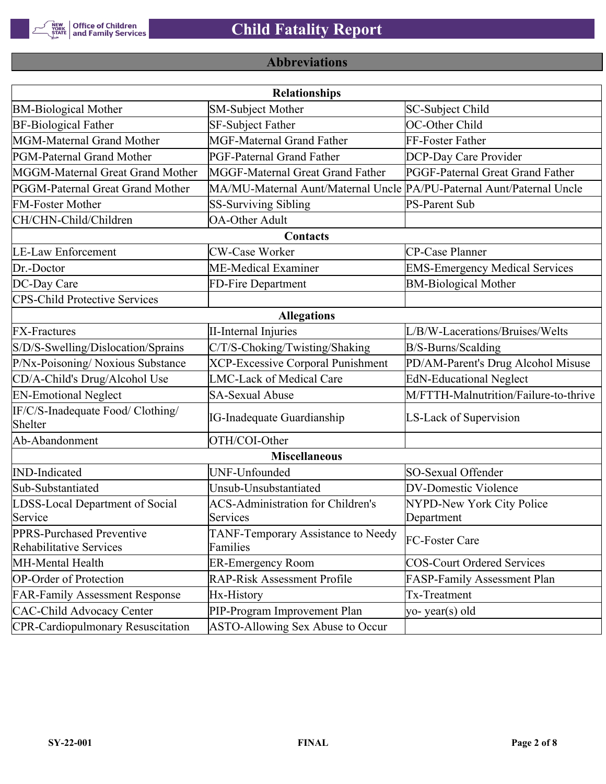

# **Abbreviations**

|                                                      | <b>Relationships</b>                                                  |                                       |
|------------------------------------------------------|-----------------------------------------------------------------------|---------------------------------------|
| <b>BM-Biological Mother</b>                          | SM-Subject Mother                                                     | SC-Subject Child                      |
| <b>BF-Biological Father</b>                          | <b>SF-Subject Father</b>                                              | OC-Other Child                        |
| MGM-Maternal Grand Mother                            | <b>MGF-Maternal Grand Father</b>                                      | FF-Foster Father                      |
| PGM-Paternal Grand Mother                            | <b>PGF-Paternal Grand Father</b>                                      | DCP-Day Care Provider                 |
| MGGM-Maternal Great Grand Mother                     | MGGF-Maternal Great Grand Father                                      | PGGF-Paternal Great Grand Father      |
| PGGM-Paternal Great Grand Mother                     | MA/MU-Maternal Aunt/Maternal Uncle PA/PU-Paternal Aunt/Paternal Uncle |                                       |
| <b>FM-Foster Mother</b>                              | <b>SS-Surviving Sibling</b>                                           | <b>PS-Parent Sub</b>                  |
| CH/CHN-Child/Children                                | <b>OA-Other Adult</b>                                                 |                                       |
|                                                      | Contacts                                                              |                                       |
| <b>LE-Law Enforcement</b>                            | <b>CW-Case Worker</b>                                                 | CP-Case Planner                       |
| Dr.-Doctor                                           | ME-Medical Examiner                                                   | <b>EMS-Emergency Medical Services</b> |
| DC-Day Care                                          | FD-Fire Department                                                    | <b>BM-Biological Mother</b>           |
| <b>CPS-Child Protective Services</b>                 |                                                                       |                                       |
|                                                      | <b>Allegations</b>                                                    |                                       |
| <b>FX-Fractures</b>                                  | <b>II-Internal Injuries</b>                                           | L/B/W-Lacerations/Bruises/Welts       |
| S/D/S-Swelling/Dislocation/Sprains                   | C/T/S-Choking/Twisting/Shaking                                        | B/S-Burns/Scalding                    |
| P/Nx-Poisoning/ Noxious Substance                    | <b>XCP-Excessive Corporal Punishment</b>                              | PD/AM-Parent's Drug Alcohol Misuse    |
| CD/A-Child's Drug/Alcohol Use                        | <b>LMC-Lack of Medical Care</b>                                       | <b>EdN-Educational Neglect</b>        |
| <b>EN-Emotional Neglect</b>                          | <b>SA-Sexual Abuse</b>                                                | M/FTTH-Malnutrition/Failure-to-thrive |
| IF/C/S-Inadequate Food/ Clothing/<br>Shelter         | <b>IG-Inadequate Guardianship</b>                                     | LS-Lack of Supervision                |
| Ab-Abandonment                                       | OTH/COI-Other                                                         |                                       |
|                                                      | <b>Miscellaneous</b>                                                  |                                       |
| <b>IND-Indicated</b>                                 | UNF-Unfounded                                                         | SO-Sexual Offender                    |
| Sub-Substantiated                                    | Unsub-Unsubstantiated                                                 | <b>DV-Domestic Violence</b>           |
| LDSS-Local Department of Social                      | <b>ACS-Administration for Children's</b>                              | NYPD-New York City Police             |
| Service                                              | Services                                                              | Department                            |
| PPRS-Purchased Preventive<br>Rehabilitative Services | TANF-Temporary Assistance to Needy<br>Families                        | FC-Foster Care                        |
| MH-Mental Health                                     | <b>ER-Emergency Room</b>                                              | <b>COS-Court Ordered Services</b>     |
| <b>OP-Order of Protection</b>                        | <b>RAP-Risk Assessment Profile</b>                                    | FASP-Family Assessment Plan           |
| <b>FAR-Family Assessment Response</b>                | Hx-History                                                            | Tx-Treatment                          |
| <b>CAC-Child Advocacy Center</b>                     | PIP-Program Improvement Plan                                          | yo-year(s) old                        |
| <b>CPR-Cardiopulmonary Resuscitation</b>             | ASTO-Allowing Sex Abuse to Occur                                      |                                       |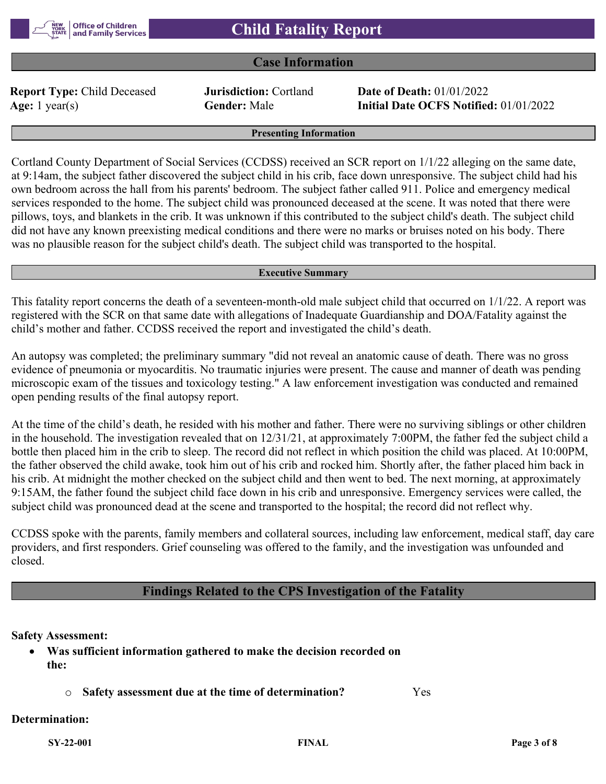# **Case Information**

**Report Type:** Child Deceased **Jurisdiction:** Cortland **Date of Death:** 01/01/2022

**Age:** 1 year(s) **Gender:** Male **Initial Date OCFS Notified:** 01/01/2022

#### **Presenting Information**

Cortland County Department of Social Services (CCDSS) received an SCR report on 1/1/22 alleging on the same date, at 9:14am, the subject father discovered the subject child in his crib, face down unresponsive. The subject child had his own bedroom across the hall from his parents' bedroom. The subject father called 911. Police and emergency medical services responded to the home. The subject child was pronounced deceased at the scene. It was noted that there were pillows, toys, and blankets in the crib. It was unknown if this contributed to the subject child's death. The subject child did not have any known preexisting medical conditions and there were no marks or bruises noted on his body. There was no plausible reason for the subject child's death. The subject child was transported to the hospital.

#### **Executive Summary**

This fatality report concerns the death of a seventeen-month-old male subject child that occurred on 1/1/22. A report was registered with the SCR on that same date with allegations of Inadequate Guardianship and DOA/Fatality against the child's mother and father. CCDSS received the report and investigated the child's death.

An autopsy was completed; the preliminary summary "did not reveal an anatomic cause of death. There was no gross evidence of pneumonia or myocarditis. No traumatic injuries were present. The cause and manner of death was pending microscopic exam of the tissues and toxicology testing." A law enforcement investigation was conducted and remained open pending results of the final autopsy report.

At the time of the child's death, he resided with his mother and father. There were no surviving siblings or other children in the household. The investigation revealed that on 12/31/21, at approximately 7:00PM, the father fed the subject child a bottle then placed him in the crib to sleep. The record did not reflect in which position the child was placed. At 10:00PM, the father observed the child awake, took him out of his crib and rocked him. Shortly after, the father placed him back in his crib. At midnight the mother checked on the subject child and then went to bed. The next morning, at approximately 9:15AM, the father found the subject child face down in his crib and unresponsive. Emergency services were called, the subject child was pronounced dead at the scene and transported to the hospital; the record did not reflect why.

CCDSS spoke with the parents, family members and collateral sources, including law enforcement, medical staff, day care providers, and first responders. Grief counseling was offered to the family, and the investigation was unfounded and closed.

# **Findings Related to the CPS Investigation of the Fatality**

# **Safety Assessment:**

- **Was sufficient information gathered to make the decision recorded on the:**
	- o **Safety assessment due at the time of determination?** Yes

#### **Determination:**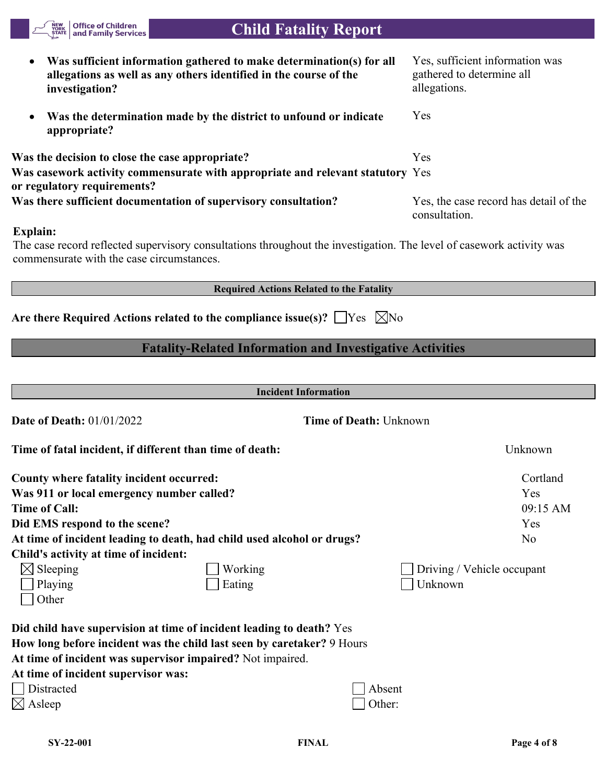| allegations as well as any others identified in the course of the<br>investigation?                                                                                           | gathered to determine all<br>allegations.               |
|-------------------------------------------------------------------------------------------------------------------------------------------------------------------------------|---------------------------------------------------------|
| Was the determination made by the district to unfound or indicate<br>$\bullet$<br>appropriate?                                                                                | Yes                                                     |
| Was the decision to close the case appropriate?                                                                                                                               | Yes                                                     |
| Was casework activity commensurate with appropriate and relevant statutory Yes<br>or regulatory requirements?                                                                 |                                                         |
| Was there sufficient documentation of supervisory consultation?                                                                                                               | Yes, the case record has detail of the<br>consultation. |
| Explain:<br>The case record reflected supervisory consultations throughout the investigation. The level of casework activity was<br>commensurate with the case circumstances. |                                                         |
| <b>Required Actions Related to the Fatality</b>                                                                                                                               |                                                         |
| Are there Required Actions related to the compliance issue(s)? $\Box$ Yes $\Box$ No                                                                                           |                                                         |
| <b>Fatality-Related Information and Investigative Activities</b>                                                                                                              |                                                         |
|                                                                                                                                                                               |                                                         |
| <b>Incident Information</b>                                                                                                                                                   |                                                         |
| <b>Date of Death: 01/01/2022</b><br><b>Time of Death: Unknown</b>                                                                                                             |                                                         |
| Time of fatal incident, if different than time of death:                                                                                                                      | Unknown                                                 |
| <b>County where fatality incident occurred:</b>                                                                                                                               | Cortland                                                |
| Was 911 or local emergency number called?                                                                                                                                     | Yes                                                     |
| <b>Time of Call:</b>                                                                                                                                                          | 09:15 AM                                                |
| Did EMS respond to the scene?                                                                                                                                                 | Yes                                                     |
| At time of incident leading to death, had child used alcohol or drugs?                                                                                                        | No                                                      |
| Child's activity at time of incident:                                                                                                                                         |                                                         |
| $\boxtimes$ Sleeping<br>Working                                                                                                                                               | Driving / Vehicle occupant                              |
| Eating<br>Playing                                                                                                                                                             | Unknown                                                 |
| Other                                                                                                                                                                         |                                                         |
| Did child have supervision at time of incident leading to death? Yes                                                                                                          |                                                         |
| How long before incident was the child last seen by caretaker? 9 Hours                                                                                                        |                                                         |
| At time of incident was supervisor impaired? Not impaired.                                                                                                                    |                                                         |
| At time of incident supervisor was:                                                                                                                                           |                                                         |
| <b>Distracted</b><br>Absent                                                                                                                                                   |                                                         |
| $\boxtimes$ Asleep<br>Other:                                                                                                                                                  |                                                         |
|                                                                                                                                                                               |                                                         |

 **Child Fatality Report**

**Was sufficient information gathered to make determination(s) for all** 

NEW<br>YORK<br>STATE

Office of Children<br>| and Family Services

Yes, sufficient information was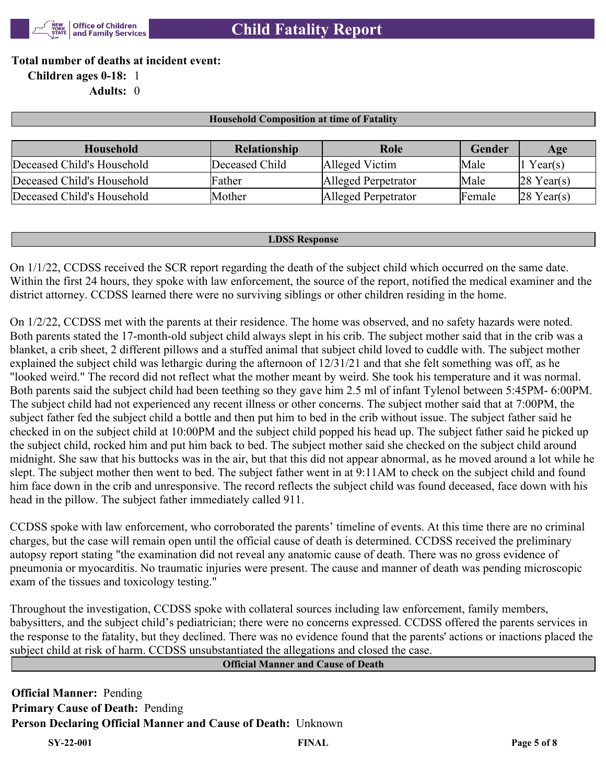

**Total number of deaths at incident event:**

**Children ages 0-18:** 1

**Adults:** 0

#### **Household Composition at time of Fatality**

| Household                  | <b>Relationship</b> | Role                | Gender | Age                    |
|----------------------------|---------------------|---------------------|--------|------------------------|
| Deceased Child's Household | Deceased Child      | Alleged Victim      | Male   | Year(s)                |
| Deceased Child's Household | Father              | Alleged Perpetrator | Male   | $ 28 \text{ Year}(s) $ |
| Deceased Child's Household | Mother              | Alleged Perpetrator | Female | $28$ Year(s)           |

#### **LDSS Response**

On 1/1/22, CCDSS received the SCR report regarding the death of the subject child which occurred on the same date. Within the first 24 hours, they spoke with law enforcement, the source of the report, notified the medical examiner and the district attorney. CCDSS learned there were no surviving siblings or other children residing in the home.

On 1/2/22, CCDSS met with the parents at their residence. The home was observed, and no safety hazards were noted. Both parents stated the 17-month-old subject child always slept in his crib. The subject mother said that in the crib was a blanket, a crib sheet, 2 different pillows and a stuffed animal that subject child loved to cuddle with. The subject mother explained the subject child was lethargic during the afternoon of 12/31/21 and that she felt something was off, as he "looked weird." The record did not reflect what the mother meant by weird. She took his temperature and it was normal. Both parents said the subject child had been teething so they gave him 2.5 ml of infant Tylenol between 5:45PM- 6:00PM. The subject child had not experienced any recent illness or other concerns. The subject mother said that at 7:00PM, the subject father fed the subject child a bottle and then put him to bed in the crib without issue. The subject father said he checked in on the subject child at 10:00PM and the subject child popped his head up. The subject father said he picked up the subject child, rocked him and put him back to bed. The subject mother said she checked on the subject child around midnight. She saw that his buttocks was in the air, but that this did not appear abnormal, as he moved around a lot while he slept. The subject mother then went to bed. The subject father went in at 9:11AM to check on the subject child and found him face down in the crib and unresponsive. The record reflects the subject child was found deceased, face down with his head in the pillow. The subject father immediately called 911.

CCDSS spoke with law enforcement, who corroborated the parents' timeline of events. At this time there are no criminal charges, but the case will remain open until the official cause of death is determined. CCDSS received the preliminary autopsy report stating "the examination did not reveal any anatomic cause of death. There was no gross evidence of pneumonia or myocarditis. No traumatic injuries were present. The cause and manner of death was pending microscopic exam of the tissues and toxicology testing."

Throughout the investigation, CCDSS spoke with collateral sources including law enforcement, family members, babysitters, and the subject child's pediatrician; there were no concerns expressed. CCDSS offered the parents services in the response to the fatality, but they declined. There was no evidence found that the parents' actions or inactions placed the subject child at risk of harm. CCDSS unsubstantiated the allegations and closed the case.

# **Official Manner and Cause of Death**

**Official Manner:** Pending **Primary Cause of Death:** Pending **Person Declaring Official Manner and Cause of Death:** Unknown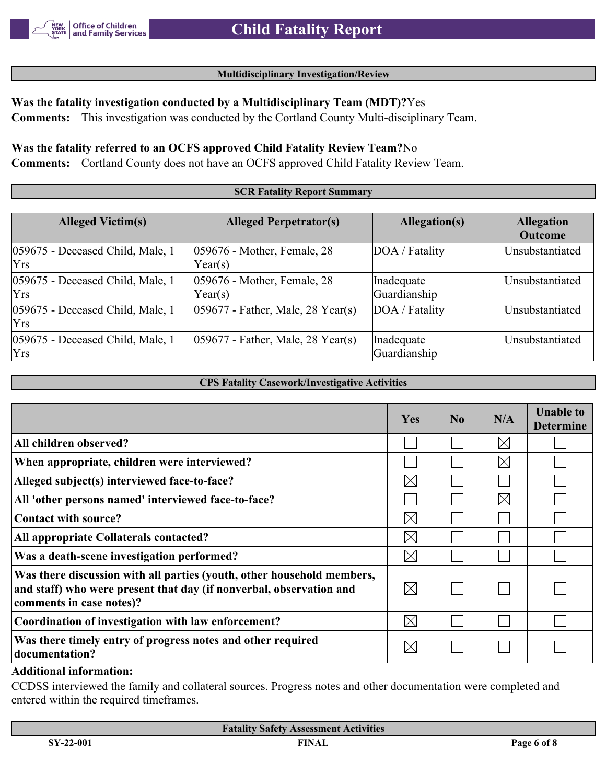## **Multidisciplinary Investigation/Review**

# **Was the fatality investigation conducted by a Multidisciplinary Team (MDT)?**Yes

**Comments:** This investigation was conducted by the Cortland County Multi-disciplinary Team.

# **Was the fatality referred to an OCFS approved Child Fatality Review Team?**No

**Comments:** Cortland County does not have an OCFS approved Child Fatality Review Team.

#### **SCR Fatality Report Summary Alleged Victim(s) Alleged Perpetrator(s) Allegation(s) Allegation Outcome** 059675 - Deceased Child, Male, 1 Yrs 059676 - Mother, Female, 28 Year(s) DOA / Fatality | Unsubstantiated 059675 - Deceased Child, Male, 1 Yrs 059676 - Mother, Female, 28 Year(s) Inadequate Guardianship Unsubstantiated 059675 - Deceased Child, Male, 1 Yrs  $059677$  - Father, Male, 28 Year(s)  $|DOA / \text{Fatality}$  | Unsubstantiated 059675 - Deceased Child, Male, 1 Yrs 059677 - Father, Male, 28 Year(s) Inadequate Guardianship Unsubstantiated

#### **CPS Fatality Casework/Investigative Activities**

|                                                                                                                                                                           | <b>Yes</b>  | No | N/A         | <b>Unable to</b><br><b>Determine</b> |
|---------------------------------------------------------------------------------------------------------------------------------------------------------------------------|-------------|----|-------------|--------------------------------------|
| All children observed?                                                                                                                                                    |             |    | $\boxtimes$ |                                      |
| When appropriate, children were interviewed?                                                                                                                              |             |    | $\boxtimes$ |                                      |
| Alleged subject(s) interviewed face-to-face?                                                                                                                              | $\boxtimes$ |    |             |                                      |
| All 'other persons named' interviewed face-to-face?                                                                                                                       |             |    | $\boxtimes$ |                                      |
| Contact with source?                                                                                                                                                      | $\boxtimes$ |    |             |                                      |
| All appropriate Collaterals contacted?                                                                                                                                    | $\boxtimes$ |    |             |                                      |
| Was a death-scene investigation performed?                                                                                                                                | $\boxtimes$ |    |             |                                      |
| Was there discussion with all parties (youth, other household members,<br>and staff) who were present that day (if nonverbal, observation and<br>comments in case notes)? | $\boxtimes$ |    |             |                                      |
| Coordination of investigation with law enforcement?                                                                                                                       | $\boxtimes$ |    |             |                                      |
| Was there timely entry of progress notes and other required<br>documentation?                                                                                             | $\boxtimes$ |    |             |                                      |

#### **Additional information:**

CCDSS interviewed the family and collateral sources. Progress notes and other documentation were completed and entered within the required timeframes.

| <b>Fatality Safety Assessment Activities</b> |              |             |  |  |
|----------------------------------------------|--------------|-------------|--|--|
| $SY-22-001$                                  | <b>FINAL</b> | Page 6 of 8 |  |  |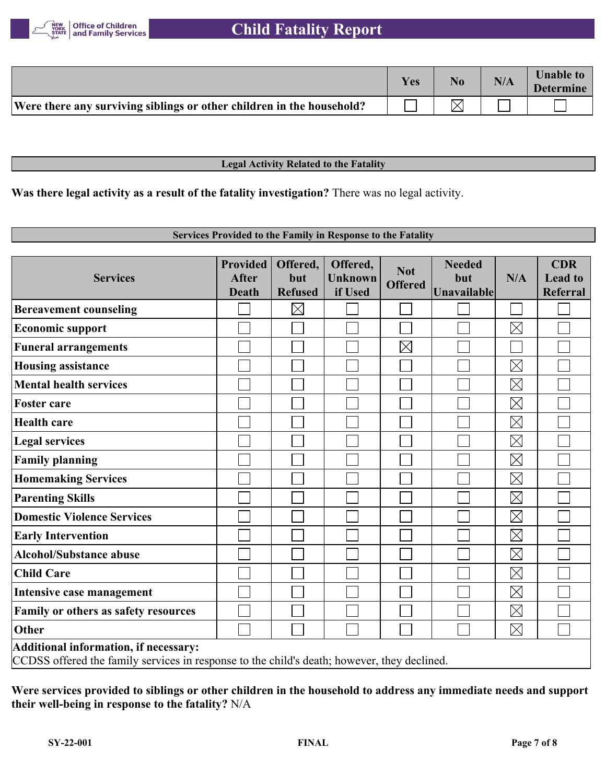

# **Child Fatality Report**

|                                                                       | Yes | No. | N/A | <b>Unable to</b><br><b>Determine</b> |
|-----------------------------------------------------------------------|-----|-----|-----|--------------------------------------|
| Were there any surviving siblings or other children in the household? |     |     |     |                                      |

#### **Legal Activity Related to the Fatality**

**Was there legal activity as a result of the fatality investigation?** There was no legal activity.

# **Services Provided to the Family in Response to the Fatality**

| <b>Services</b>                                                                                                                      | <b>Provided</b><br><b>After</b><br><b>Death</b> | Offered,<br>but<br><b>Refused</b> | Offered,<br><b>Unknown</b><br>if Used | <b>Not</b><br><b>Offered</b> | <b>Needed</b><br>but<br>Unavailable | N/A         | <b>CDR</b><br><b>Lead to</b><br><b>Referral</b> |
|--------------------------------------------------------------------------------------------------------------------------------------|-------------------------------------------------|-----------------------------------|---------------------------------------|------------------------------|-------------------------------------|-------------|-------------------------------------------------|
| <b>Bereavement counseling</b>                                                                                                        |                                                 | $\boxtimes$                       |                                       |                              |                                     |             |                                                 |
| <b>Economic support</b>                                                                                                              |                                                 |                                   |                                       |                              |                                     | $\boxtimes$ |                                                 |
| <b>Funeral arrangements</b>                                                                                                          |                                                 |                                   |                                       | $\boxtimes$                  |                                     |             |                                                 |
| <b>Housing assistance</b>                                                                                                            |                                                 |                                   |                                       |                              |                                     | $\boxtimes$ |                                                 |
| <b>Mental health services</b>                                                                                                        |                                                 |                                   |                                       |                              |                                     | $\boxtimes$ |                                                 |
| <b>Foster care</b>                                                                                                                   |                                                 |                                   |                                       |                              |                                     | $\boxtimes$ |                                                 |
| <b>Health care</b>                                                                                                                   |                                                 |                                   |                                       |                              |                                     | $\boxtimes$ |                                                 |
| <b>Legal services</b>                                                                                                                |                                                 |                                   |                                       |                              |                                     | $\boxtimes$ |                                                 |
| <b>Family planning</b>                                                                                                               |                                                 |                                   |                                       |                              |                                     | $\boxtimes$ |                                                 |
| <b>Homemaking Services</b>                                                                                                           |                                                 |                                   |                                       |                              |                                     | $\boxtimes$ |                                                 |
| <b>Parenting Skills</b>                                                                                                              |                                                 |                                   |                                       |                              |                                     | $\boxtimes$ |                                                 |
| <b>Domestic Violence Services</b>                                                                                                    |                                                 |                                   |                                       |                              |                                     | $\boxtimes$ |                                                 |
| <b>Early Intervention</b>                                                                                                            |                                                 |                                   |                                       |                              |                                     | $\boxtimes$ |                                                 |
| <b>Alcohol/Substance abuse</b>                                                                                                       |                                                 |                                   |                                       |                              |                                     | $\boxtimes$ |                                                 |
| <b>Child Care</b>                                                                                                                    |                                                 |                                   |                                       |                              |                                     | $\boxtimes$ |                                                 |
| Intensive case management                                                                                                            |                                                 |                                   |                                       |                              |                                     | $\boxtimes$ |                                                 |
| Family or others as safety resources                                                                                                 |                                                 |                                   |                                       |                              |                                     | $\boxtimes$ |                                                 |
| Other                                                                                                                                |                                                 |                                   |                                       |                              |                                     | $\boxtimes$ |                                                 |
| Additional information, if necessary:<br>CCDSS offered the family services in response to the child's death; however, they declined. |                                                 |                                   |                                       |                              |                                     |             |                                                 |

**Were services provided to siblings or other children in the household to address any immediate needs and support their well-being in response to the fatality?** N/A